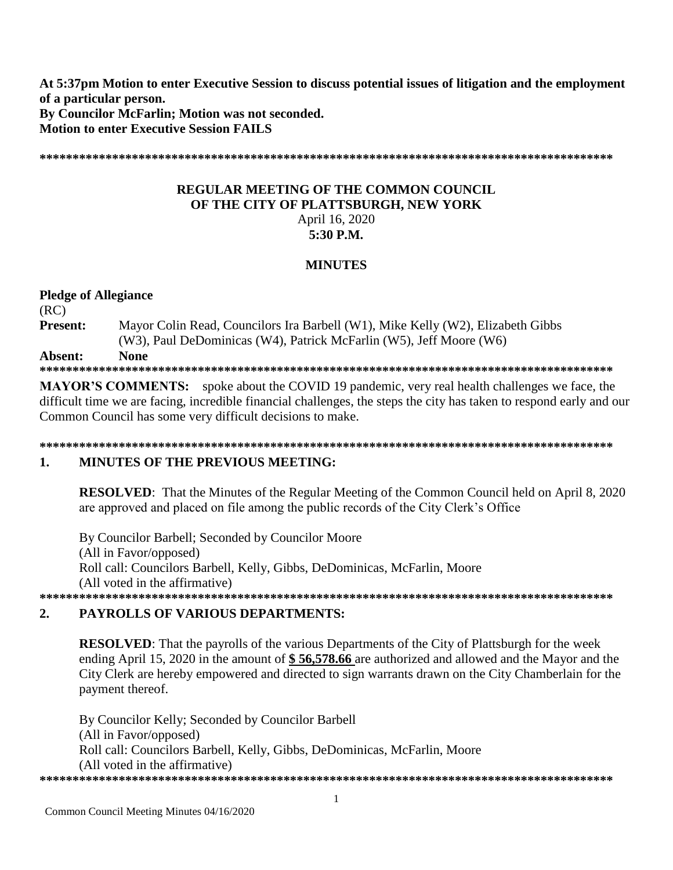At 5:37pm Motion to enter Executive Session to discuss potential issues of litigation and the employment of a particular person. By Councilor McFarlin: Motion was not seconded. **Motion to enter Executive Session FAILS** 

## **REGULAR MEETING OF THE COMMON COUNCIL.** OF THE CITY OF PLATTSBURGH, NEW YORK April 16, 2020 5:30 P.M.

# **MINUTES**

**Pledge of Allegiance**  $(RC)$ Present: Mayor Colin Read, Councilors Ira Barbell (W1), Mike Kelly (W2), Elizabeth Gibbs (W3), Paul DeDominicas (W4), Patrick McFarlin (W5), Jeff Moore (W6) **None** Absent: 

**MAYOR'S COMMENTS:** spoke about the COVID 19 pandemic, very real health challenges we face, the difficult time we are facing, incredible financial challenges, the steps the city has taken to respond early and our Common Council has some very difficult decisions to make.

#### 1. **MINUTES OF THE PREVIOUS MEETING:**

**RESOLVED:** That the Minutes of the Regular Meeting of the Common Council held on April 8, 2020 are approved and placed on file among the public records of the City Clerk's Office

By Councilor Barbell; Seconded by Councilor Moore (All in Favor/opposed) Roll call: Councilors Barbell, Kelly, Gibbs, DeDominicas, McFarlin, Moore (All voted in the affirmative) 

#### $2.$ **PAYROLLS OF VARIOUS DEPARTMENTS:**

**RESOLVED:** That the payrolls of the various Departments of the City of Plattsburgh for the week ending April 15, 2020 in the amount of \$56,578.66 are authorized and allowed and the Mayor and the City Clerk are hereby empowered and directed to sign warrants drawn on the City Chamberlain for the payment thereof.

By Councilor Kelly; Seconded by Councilor Barbell (All in Favor/opposed) Roll call: Councilors Barbell, Kelly, Gibbs, DeDominicas, McFarlin, Moore (All voted in the affirmative)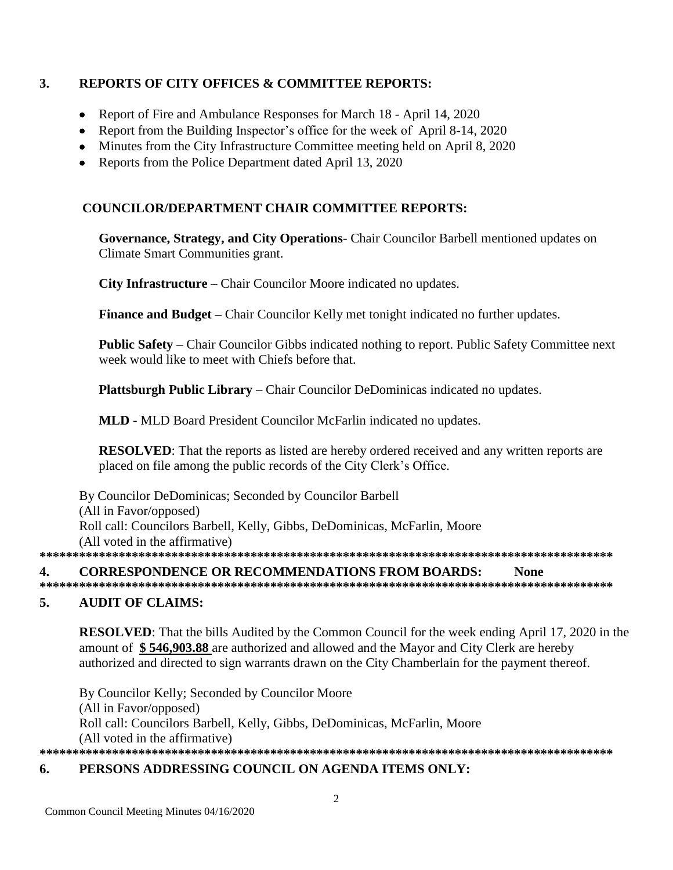#### $\overline{3}$ . **REPORTS OF CITY OFFICES & COMMITTEE REPORTS:**

- Report of Fire and Ambulance Responses for March 18 April 14, 2020
- Report from the Building Inspector's office for the week of April 8-14, 2020
- Minutes from the City Infrastructure Committee meeting held on April 8, 2020
- Reports from the Police Department dated April 13, 2020

# **COUNCILOR/DEPARTMENT CHAIR COMMITTEE REPORTS:**

Governance, Strategy, and City Operations- Chair Councilor Barbell mentioned updates on **Climate Smart Communities grant.** 

**City Infrastructure** – Chair Councilor Moore indicated no updates.

Finance and Budget – Chair Councilor Kelly met tonight indicated no further updates.

Public Safety - Chair Councilor Gibbs indicated nothing to report. Public Safety Committee next week would like to meet with Chiefs before that.

**Plattsburgh Public Library** – Chair Councilor DeDominicas indicated no updates.

**MLD - MLD Board President Councilor McFarlin indicated no updates.** 

**RESOLVED:** That the reports as listed are hereby ordered received and any written reports are placed on file among the public records of the City Clerk's Office.

By Councilor DeDominicas; Seconded by Councilor Barbell (All in Favor/opposed) Roll call: Councilors Barbell, Kelly, Gibbs, DeDominicas, McFarlin, Moore (All voted in the affirmative) 

#### $\overline{4}$ . **CORRESPONDENCE OR RECOMMENDATIONS FROM BOARDS: None**

#### 5. **AUDIT OF CLAIMS:**

**RESOLVED:** That the bills Audited by the Common Council for the week ending April 17, 2020 in the amount of \$546,903.88 are authorized and allowed and the Mayor and City Clerk are hereby authorized and directed to sign warrants drawn on the City Chamberlain for the payment thereof.

By Councilor Kelly; Seconded by Councilor Moore (All in Favor/opposed) Roll call: Councilors Barbell, Kelly, Gibbs, DeDominicas, McFarlin, Moore (All voted in the affirmative) 

#### 6. PERSONS ADDRESSING COUNCIL ON AGENDA ITEMS ONLY: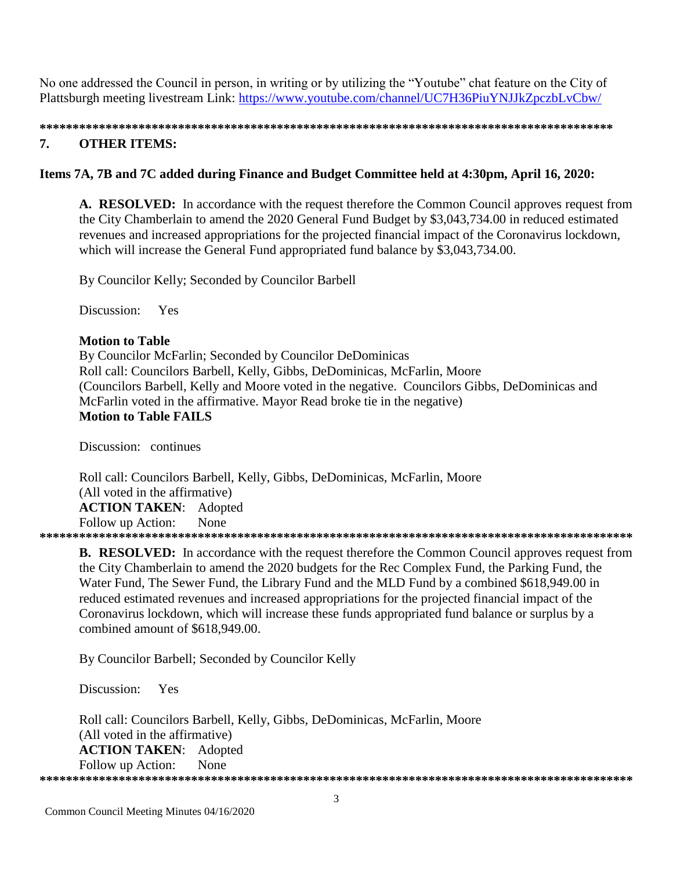No one addressed the Council in person, in writing or by utilizing the "Youtube" chat feature on the City of Plattsburgh meeting livestream Link: https://www.youtube.com/channel/UC7H36PiuYNJJkZpczbLvCbw/

#### 7. **OTHER ITEMS:**

### Items 7A, 7B and 7C added during Finance and Budget Committee held at 4:30pm, April 16, 2020:

A. RESOLVED: In accordance with the request therefore the Common Council approves request from the City Chamberlain to amend the 2020 General Fund Budget by \$3,043,734.00 in reduced estimated revenues and increased appropriations for the projected financial impact of the Coronavirus lockdown, which will increase the General Fund appropriated fund balance by \$3,043,734.00.

By Councilor Kelly; Seconded by Councilor Barbell

Discussion: Yes

### **Motion to Table**

By Councilor McFarlin; Seconded by Councilor DeDominicas Roll call: Councilors Barbell, Kelly, Gibbs, DeDominicas, McFarlin, Moore (Councilors Barbell, Kelly and Moore voted in the negative. Councilors Gibbs, DeDominicas and McFarlin voted in the affirmative. Mayor Read broke tie in the negative) **Motion to Table FAILS** 

Discussion: continues

Roll call: Councilors Barbell, Kelly, Gibbs, DeDominicas, McFarlin, Moore (All voted in the affirmative) **ACTION TAKEN:** Adopted Follow up Action: None 

**B. RESOLVED:** In accordance with the request therefore the Common Council approves request from the City Chamberlain to amend the 2020 budgets for the Rec Complex Fund, the Parking Fund, the Water Fund, The Sewer Fund, the Library Fund and the MLD Fund by a combined \$618,949.00 in reduced estimated revenues and increased appropriations for the projected financial impact of the Coronavirus lockdown, which will increase these funds appropriated fund balance or surplus by a combined amount of \$618,949.00.

By Councilor Barbell; Seconded by Councilor Kelly

Discussion: Yes

Roll call: Councilors Barbell, Kelly, Gibbs, DeDominicas, McFarlin, Moore (All voted in the affirmative) **ACTION TAKEN: Adopted** Follow up Action: None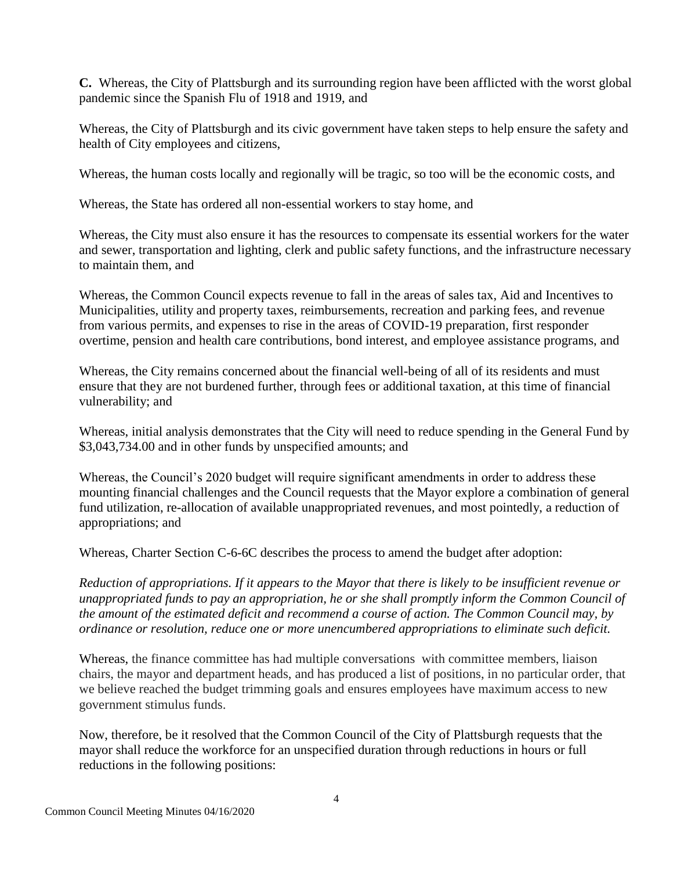**C.** Whereas, the City of Plattsburgh and its surrounding region have been afflicted with the worst global pandemic since the Spanish Flu of 1918 and 1919, and

Whereas, the City of Plattsburgh and its civic government have taken steps to help ensure the safety and health of City employees and citizens,

Whereas, the human costs locally and regionally will be tragic, so too will be the economic costs, and

Whereas, the State has ordered all non-essential workers to stay home, and

Whereas, the City must also ensure it has the resources to compensate its essential workers for the water and sewer, transportation and lighting, clerk and public safety functions, and the infrastructure necessary to maintain them, and

Whereas, the Common Council expects revenue to fall in the areas of sales tax, Aid and Incentives to Municipalities, utility and property taxes, reimbursements, recreation and parking fees, and revenue from various permits, and expenses to rise in the areas of COVID-19 preparation, first responder overtime, pension and health care contributions, bond interest, and employee assistance programs, and

Whereas, the City remains concerned about the financial well-being of all of its residents and must ensure that they are not burdened further, through fees or additional taxation, at this time of financial vulnerability; and

Whereas, initial analysis demonstrates that the City will need to reduce spending in the General Fund by \$3,043,734.00 and in other funds by unspecified amounts; and

Whereas, the Council's 2020 budget will require significant amendments in order to address these mounting financial challenges and the Council requests that the Mayor explore a combination of general fund utilization, re-allocation of available unappropriated revenues, and most pointedly, a reduction of appropriations; and

Whereas, Charter Section C-6-6C describes the process to amend the budget after adoption:

*Reduction of appropriations. If it appears to the Mayor that there is likely to be insufficient revenue or unappropriated funds to pay an appropriation, he or she shall promptly inform the Common Council of the amount of the estimated deficit and recommend a course of action. The Common Council may, by ordinance or resolution, reduce one or more unencumbered appropriations to eliminate such deficit.*

Whereas, the finance committee has had multiple conversations with committee members, liaison chairs, the mayor and department heads, and has produced a list of positions, in no particular order, that we believe reached the budget trimming goals and ensures employees have maximum access to new government stimulus funds.

Now, therefore, be it resolved that the Common Council of the City of Plattsburgh requests that the mayor shall reduce the workforce for an unspecified duration through reductions in hours or full reductions in the following positions: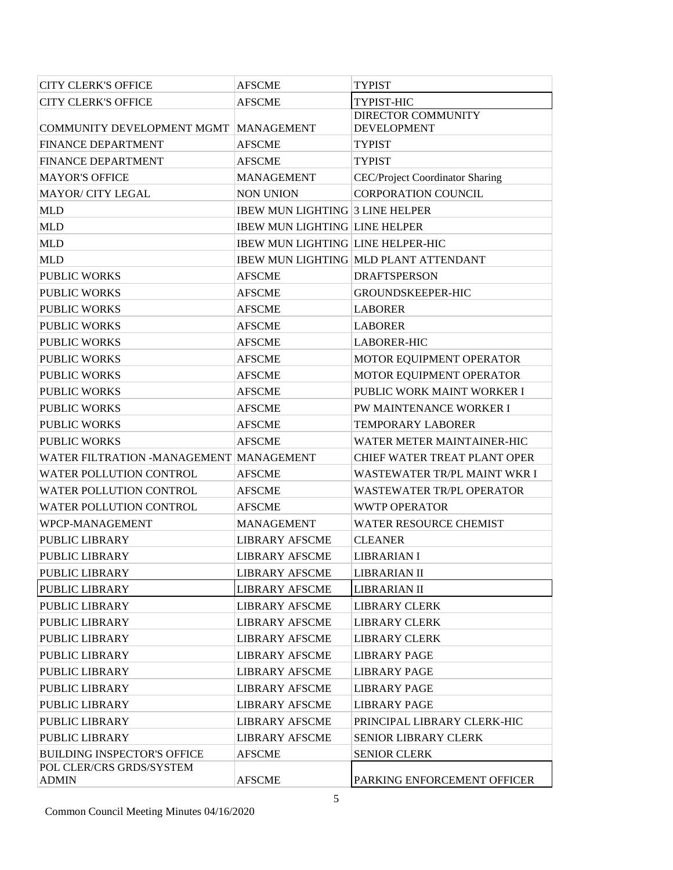| <b>CITY CLERK'S OFFICE</b>              | <b>AFSCME</b>                            | <b>TYPIST</b>                                |
|-----------------------------------------|------------------------------------------|----------------------------------------------|
| <b>CITY CLERK'S OFFICE</b>              | <b>AFSCME</b>                            | TYPIST-HIC                                   |
|                                         |                                          | <b>DIRECTOR COMMUNITY</b>                    |
| <b>COMMUNITY DEVELOPMENT MGMT</b>       | <b>MANAGEMENT</b>                        | <b>DEVELOPMENT</b>                           |
| <b>FINANCE DEPARTMENT</b>               | <b>AFSCME</b>                            | <b>TYPIST</b>                                |
| FINANCE DEPARTMENT                      | <b>AFSCME</b>                            | <b>TYPIST</b>                                |
| <b>MAYOR'S OFFICE</b>                   | <b>MANAGEMENT</b>                        | CEC/Project Coordinator Sharing              |
| <b>MAYOR/ CITY LEGAL</b>                | <b>NON UNION</b>                         | <b>CORPORATION COUNCIL</b>                   |
| <b>MLD</b>                              | <b>IBEW MUN LIGHTING 3 LINE HELPER</b>   |                                              |
| <b>MLD</b>                              | <b>IBEW MUN LIGHTING LINE HELPER</b>     |                                              |
| <b>MLD</b>                              | <b>IBEW MUN LIGHTING LINE HELPER-HIC</b> |                                              |
| <b>MLD</b>                              |                                          | <b>IBEW MUN LIGHTING MLD PLANT ATTENDANT</b> |
| <b>PUBLIC WORKS</b>                     | <b>AFSCME</b>                            | <b>DRAFTSPERSON</b>                          |
| PUBLIC WORKS                            | <b>AFSCME</b>                            | <b>GROUNDSKEEPER-HIC</b>                     |
| <b>PUBLIC WORKS</b>                     | <b>AFSCME</b>                            | <b>LABORER</b>                               |
| <b>PUBLIC WORKS</b>                     | <b>AFSCME</b>                            | <b>LABORER</b>                               |
| <b>PUBLIC WORKS</b>                     | <b>AFSCME</b>                            | <b>LABORER-HIC</b>                           |
| PUBLIC WORKS                            | <b>AFSCME</b>                            | MOTOR EQUIPMENT OPERATOR                     |
| <b>PUBLIC WORKS</b>                     | <b>AFSCME</b>                            | MOTOR EQUIPMENT OPERATOR                     |
| <b>PUBLIC WORKS</b>                     | <b>AFSCME</b>                            | PUBLIC WORK MAINT WORKER I                   |
| <b>PUBLIC WORKS</b>                     | <b>AFSCME</b>                            | PW MAINTENANCE WORKER I                      |
| PUBLIC WORKS                            | <b>AFSCME</b>                            | <b>TEMPORARY LABORER</b>                     |
| <b>PUBLIC WORKS</b>                     | <b>AFSCME</b>                            | WATER METER MAINTAINER-HIC                   |
| WATER FILTRATION -MANAGEMENT MANAGEMENT |                                          | CHIEF WATER TREAT PLANT OPER                 |
| WATER POLLUTION CONTROL                 | <b>AFSCME</b>                            | WASTEWATER TR/PL MAINT WKR I                 |
| WATER POLLUTION CONTROL                 | <b>AFSCME</b>                            | <b>WASTEWATER TR/PL OPERATOR</b>             |
| WATER POLLUTION CONTROL                 | <b>AFSCME</b>                            | <b>WWTP OPERATOR</b>                         |
| WPCP-MANAGEMENT                         | <b>MANAGEMENT</b>                        | <b>WATER RESOURCE CHEMIST</b>                |
| PUBLIC LIBRARY                          | <b>LIBRARY AFSCME</b>                    | <b>CLEANER</b>                               |
| <b>PUBLIC LIBRARY</b>                   | <b>LIBRARY AFSCME</b>                    | <b>LIBRARIAN I</b>                           |
| PUBLIC LIBRARY                          | <b>LIBRARY AFSCME</b>                    | LIBRARIAN II                                 |
| PUBLIC LIBRARY                          | <b>LIBRARY AFSCME</b>                    | <b>LIBRARIAN II</b>                          |
| <b>PUBLIC LIBRARY</b>                   | <b>LIBRARY AFSCME</b>                    | <b>LIBRARY CLERK</b>                         |
| PUBLIC LIBRARY                          | <b>LIBRARY AFSCME</b>                    | <b>LIBRARY CLERK</b>                         |
| <b>PUBLIC LIBRARY</b>                   | <b>LIBRARY AFSCME</b>                    | <b>LIBRARY CLERK</b>                         |
| <b>PUBLIC LIBRARY</b>                   | <b>LIBRARY AFSCME</b>                    | <b>LIBRARY PAGE</b>                          |
| PUBLIC LIBRARY                          | <b>LIBRARY AFSCME</b>                    | <b>LIBRARY PAGE</b>                          |
| PUBLIC LIBRARY                          | <b>LIBRARY AFSCME</b>                    | <b>LIBRARY PAGE</b>                          |
| PUBLIC LIBRARY                          | <b>LIBRARY AFSCME</b>                    | <b>LIBRARY PAGE</b>                          |
| PUBLIC LIBRARY                          | <b>LIBRARY AFSCME</b>                    | PRINCIPAL LIBRARY CLERK-HIC                  |
| <b>PUBLIC LIBRARY</b>                   | <b>LIBRARY AFSCME</b>                    | <b>SENIOR LIBRARY CLERK</b>                  |
| <b>BUILDING INSPECTOR'S OFFICE</b>      | <b>AFSCME</b>                            | <b>SENIOR CLERK</b>                          |
| POL CLER/CRS GRDS/SYSTEM                |                                          |                                              |
| <b>ADMIN</b>                            | <b>AFSCME</b>                            | PARKING ENFORCEMENT OFFICER                  |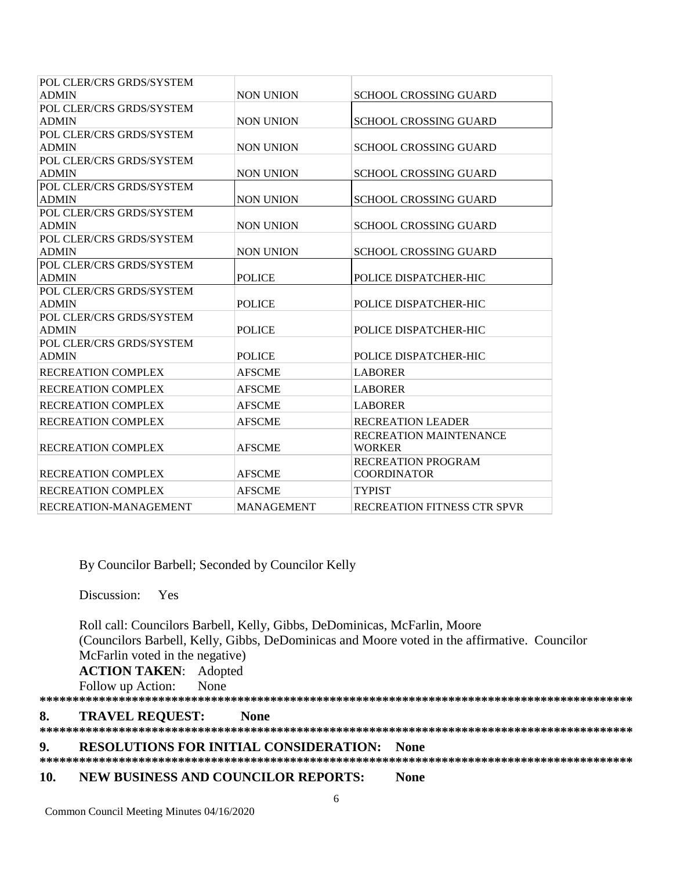| POL CLER/CRS GRDS/SYSTEM  |                   |                               |
|---------------------------|-------------------|-------------------------------|
| <b>ADMIN</b>              | <b>NON UNION</b>  | <b>SCHOOL CROSSING GUARD</b>  |
| POL CLER/CRS GRDS/SYSTEM  |                   |                               |
| <b>ADMIN</b>              | <b>NON UNION</b>  | <b>SCHOOL CROSSING GUARD</b>  |
| POL CLER/CRS GRDS/SYSTEM  |                   |                               |
| <b>ADMIN</b>              | <b>NON UNION</b>  | <b>SCHOOL CROSSING GUARD</b>  |
| POL CLER/CRS GRDS/SYSTEM  |                   |                               |
| <b>ADMIN</b>              | <b>NON UNION</b>  | <b>SCHOOL CROSSING GUARD</b>  |
| POL CLER/CRS GRDS/SYSTEM  |                   |                               |
| <b>ADMIN</b>              | <b>NON UNION</b>  | <b>SCHOOL CROSSING GUARD</b>  |
| POL CLER/CRS GRDS/SYSTEM  |                   |                               |
| <b>ADMIN</b>              | <b>NON UNION</b>  | <b>SCHOOL CROSSING GUARD</b>  |
| POL CLER/CRS GRDS/SYSTEM  |                   |                               |
| <b>ADMIN</b>              | <b>NON UNION</b>  | <b>SCHOOL CROSSING GUARD</b>  |
| POL CLER/CRS GRDS/SYSTEM  |                   |                               |
| <b>ADMIN</b>              | <b>POLICE</b>     | POLICE DISPATCHER-HIC         |
| POL CLER/CRS GRDS/SYSTEM  |                   |                               |
| <b>ADMIN</b>              | <b>POLICE</b>     | POLICE DISPATCHER-HIC         |
| POL CLER/CRS GRDS/SYSTEM  |                   |                               |
| <b>ADMIN</b>              | <b>POLICE</b>     | POLICE DISPATCHER-HIC         |
| POL CLER/CRS GRDS/SYSTEM  |                   |                               |
| <b>ADMIN</b>              | <b>POLICE</b>     | POLICE DISPATCHER-HIC         |
| <b>RECREATION COMPLEX</b> | <b>AFSCME</b>     | <b>LABORER</b>                |
| <b>RECREATION COMPLEX</b> | <b>AFSCME</b>     | <b>LABORER</b>                |
| <b>RECREATION COMPLEX</b> | <b>AFSCME</b>     | <b>LABORER</b>                |
| <b>RECREATION COMPLEX</b> | <b>AFSCME</b>     | <b>RECREATION LEADER</b>      |
|                           |                   | <b>RECREATION MAINTENANCE</b> |
| <b>RECREATION COMPLEX</b> | <b>AFSCME</b>     | <b>WORKER</b>                 |
|                           |                   | <b>RECREATION PROGRAM</b>     |
| <b>RECREATION COMPLEX</b> | <b>AFSCME</b>     | <b>COORDINATOR</b>            |
| <b>RECREATION COMPLEX</b> | <b>AFSCME</b>     | <b>TYPIST</b>                 |
| RECREATION-MANAGEMENT     | <b>MANAGEMENT</b> | RECREATION FITNESS CTR SPVR   |

By Councilor Barbell; Seconded by Councilor Kelly

Discussion: Yes

 Roll call: Councilors Barbell, Kelly, Gibbs, DeDominicas, McFarlin, Moore (Councilors Barbell, Kelly, Gibbs, DeDominicas and Moore voted in the affirmative. Councilor McFarlin voted in the negative)

**ACTION TAKEN**: Adopted

Follow up Action: None **\*\*\*\*\*\*\*\*\*\*\*\*\*\*\*\*\*\*\*\*\*\*\*\*\*\*\*\*\*\*\*\*\*\*\*\*\*\*\*\*\*\*\*\*\*\*\*\*\*\*\*\*\*\*\*\*\*\*\*\*\*\*\*\*\*\*\*\*\*\*\*\*\*\*\*\*\*\*\*\*\*\*\*\*\*\*\*\*\*\***

**8. TRAVEL REQUEST: None**

**\*\*\*\*\*\*\*\*\*\*\*\*\*\*\*\*\*\*\*\*\*\*\*\*\*\*\*\*\*\*\*\*\*\*\*\*\*\*\*\*\*\*\*\*\*\*\*\*\*\*\*\*\*\*\*\*\*\*\*\*\*\*\*\*\*\*\*\*\*\*\*\*\*\*\*\*\*\*\*\*\*\*\*\*\*\*\*\*\*\***

**9. RESOLUTIONS FOR INITIAL CONSIDERATION: None**

### **\*\*\*\*\*\*\*\*\*\*\*\*\*\*\*\*\*\*\*\*\*\*\*\*\*\*\*\*\*\*\*\*\*\*\*\*\*\*\*\*\*\*\*\*\*\*\*\*\*\*\*\*\*\*\*\*\*\*\*\*\*\*\*\*\*\*\*\*\*\*\*\*\*\*\*\*\*\*\*\*\*\*\*\*\*\*\*\*\*\***

### **10. NEW BUSINESS AND COUNCILOR REPORTS: None**